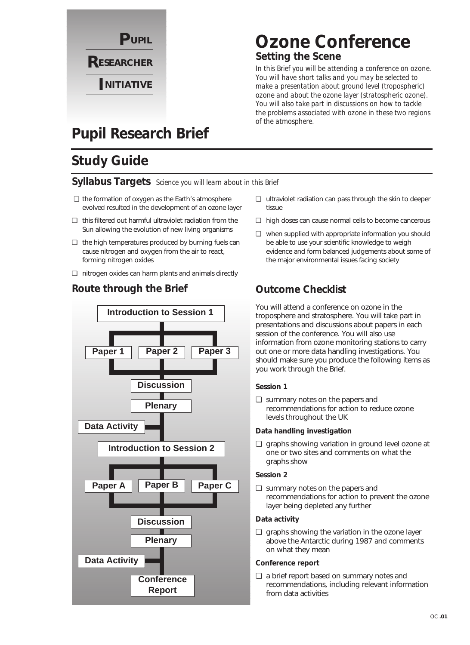

# **Ozone Conference Setting the Scene**

*In this Brief you will be attending a conference on ozone. You will have short talks and you may be selected to make a presentation about ground level (tropospheric) ozone and about the ozone layer (stratospheric ozone). You will also take part in discussions on how to tackle the problems associated with ozone in these two regions of the atmosphere.* 

# **Pupil Research Brief**

# **Study Guide**

### **Syllabus Targets** *Science you will learn about in this Brief*

- ❏ the formation of oxygen as the Earth's atmosphere evolved resulted in the development of an ozone layer
- ❏ this filtered out harmful ultraviolet radiation from the Sun allowing the evolution of new living organisms
- ❏ the high temperatures produced by burning fuels can cause nitrogen and oxygen from the air to react, forming nitrogen oxides
- ❏ nitrogen oxides can harm plants and animals directly

### **Route through the Brief Outcome Checklist**



- ❏ ultraviolet radiation can pass through the skin to deeper tissue
- ❏ high doses can cause normal cells to become cancerous
- ❏ when supplied with appropriate information you should be able to use your scientific knowledge to weigh evidence and form balanced judgements about some of the major environmental issues facing society

You will attend a conference on ozone in the troposphere and stratosphere. You will take part in presentations and discussions about papers in each session of the conference. You will also use information from ozone monitoring stations to carry out one or more data handling investigations. You should make sure you produce the following items as you work through the Brief.

### **Session 1**

❏ summary notes on the papers and recommendations for action to reduce ozone levels throughout the UK

### **Data handling investigation**

❏ graphs showing variation in ground level ozone at one or two sites and comments on what the graphs show

### **Session 2**

❏ summary notes on the papers and recommendations for action to prevent the ozone layer being depleted any further

### **Data activity**

❏ graphs showing the variation in the ozone layer above the Antarctic during 1987 and comments on what they mean

### **Conference report**

❏ a brief report based on summary notes and recommendations, including relevant information from data activities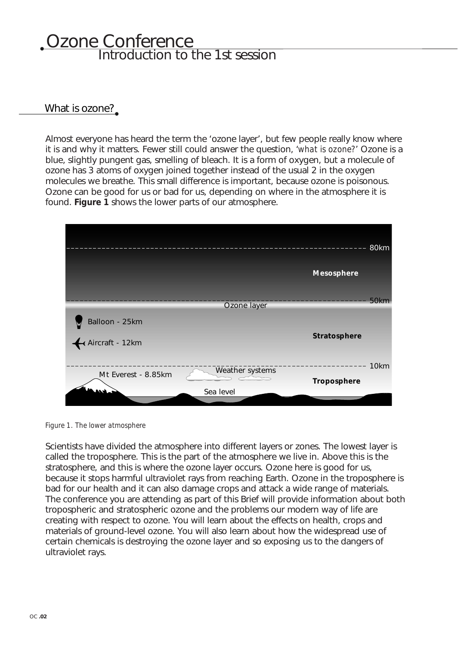# Ozone Conference Introduction to the 1st session

### What is ozone?

Almost everyone has heard the term the 'ozone layer', but few people really know where it is and why it matters. Fewer still could answer the question, '*what is ozone?*' Ozone is a blue, slightly pungent gas, smelling of bleach. It is a form of oxygen, but a molecule of ozone has 3 atoms of oxygen joined together instead of the usual 2 in the oxygen molecules we breathe. This small difference is important, because ozone is poisonous. Ozone can be good for us or bad for us, depending on where in the atmosphere it is found. **Figure 1** shows the lower parts of our atmosphere.



*Figure 1. The lower atmosphere*

Scientists have divided the atmosphere into different layers or zones. The lowest layer is called the troposphere. This is the part of the atmosphere we live in. Above this is the stratosphere, and this is where the ozone layer occurs. Ozone here is good for us, because it stops harmful ultraviolet rays from reaching Earth. Ozone in the troposphere is bad for our health and it can also damage crops and attack a wide range of materials. The conference you are attending as part of this Brief will provide information about both tropospheric and stratospheric ozone and the problems our modern way of life are creating with respect to ozone. You will learn about the effects on health, crops and materials of ground-level ozone. You will also learn about how the widespread use of certain chemicals is destroying the ozone layer and so exposing us to the dangers of ultraviolet rays.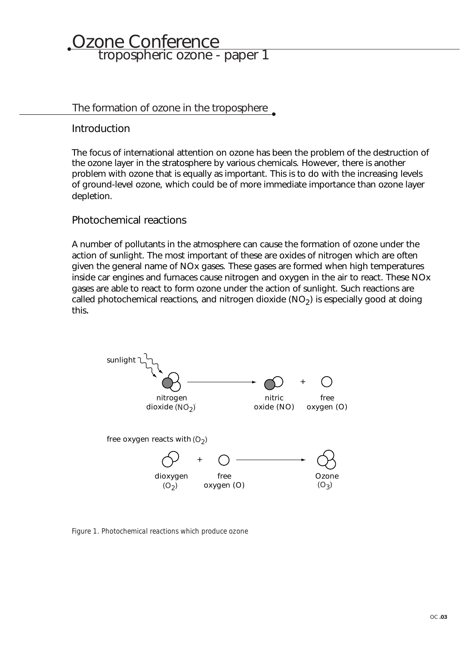# Ozone Conference tropospheric ozone - paper 1

### The formation of ozone in the troposphere

Introduction

The focus of international attention on ozone has been the problem of the destruction of the ozone layer in the stratosphere by various chemicals. However, there is another problem with ozone that is equally as important. This is to do with the increasing levels of ground-level ozone, which could be of more immediate importance than ozone layer depletion.

### Photochemical reactions

A number of pollutants in the atmosphere can cause the formation of ozone under the action of sunlight. The most important of these are oxides of nitrogen which are often given the general name of NOx gases. These gases are formed when high temperatures inside car engines and furnaces cause nitrogen and oxygen in the air to react. These NOx gases are able to react to form ozone under the action of sunlight. Such reactions are called photochemical reactions, and nitrogen dioxide  $(NO<sub>2</sub>)$  is especially good at doing this.



*Figure 1. Photochemical reactions which produce ozone*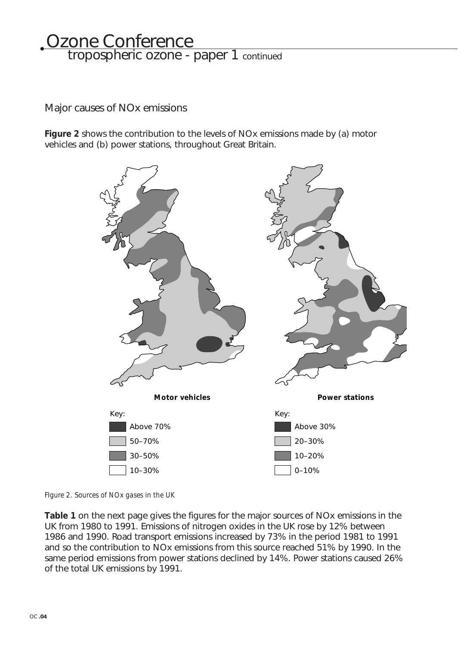# <u>Ozone Conference</u> tropospheric ozone - paper 1 continued

Major causes of NOx emissions

**Figure 2** shows the contribution to the levels of NOx emissions made by (a) motor vehicles and (b) power stations, throughout Great Britain.



*FIgure 2. Sources of NOx gases in the UK*

**Table 1** on the next page gives the figures for the major sources of NOx emissions in the UK from 1980 to 1991. Emissions of nitrogen oxides in the UK rose by 12% between 1986 and 1990. Road transport emissions increased by 73% in the period 1981 to 1991 and so the contribution to NOx emissions from this source reached 51% by 1990. In the same period emissions from power stations declined by 14%. Power stations caused 26% of the total UK emissions by 1991.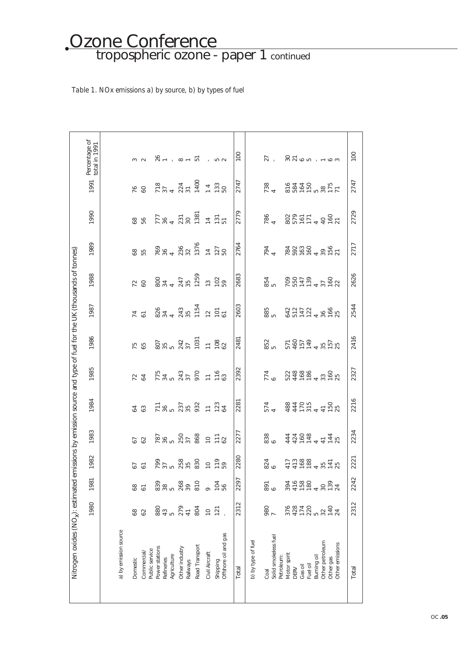### Ozone Conference tropospheric ozone - paper 1 continued

### *Table 1. NOx emissions a) by source, b) by types of fuel*

| Nitrogen oxides (NO <sub>x</sub> ): estimated emissions by emission source and type of fuel for the UK (thousands of tonnes) |                         |                             |                             |                                         |                                                                                                                                                                                                                                                                                                                                                 |                                         |                          |                               |                          |                                            |          |                                   |                                 |
|------------------------------------------------------------------------------------------------------------------------------|-------------------------|-----------------------------|-----------------------------|-----------------------------------------|-------------------------------------------------------------------------------------------------------------------------------------------------------------------------------------------------------------------------------------------------------------------------------------------------------------------------------------------------|-----------------------------------------|--------------------------|-------------------------------|--------------------------|--------------------------------------------|----------|-----------------------------------|---------------------------------|
|                                                                                                                              | 1980                    | 1981                        | 1982                        | 1983                                    | 1984                                                                                                                                                                                                                                                                                                                                            | 1985                                    | 1986                     | 1987                          | 1988                     | 1989                                       | 1990     | 1991                              | Percentage of<br>total in 1991  |
|                                                                                                                              |                         |                             |                             |                                         |                                                                                                                                                                                                                                                                                                                                                 |                                         |                          |                               |                          |                                            |          |                                   |                                 |
| a) by emission source                                                                                                        |                         |                             |                             |                                         |                                                                                                                                                                                                                                                                                                                                                 |                                         |                          |                               |                          |                                            |          |                                   |                                 |
| Domestic                                                                                                                     | 68                      | 89                          | 67                          | 67                                      | 64                                                                                                                                                                                                                                                                                                                                              |                                         | 75                       | $\overline{1}$                | 72                       |                                            | 58       | 76                                |                                 |
| Public service<br>Commercial/                                                                                                | 62                      | $\overline{6}$              | $\overline{6}$              | 62                                      | 63                                                                                                                                                                                                                                                                                                                                              | $\begin{array}{c} 72 \\ 64 \end{array}$ | 65                       | $\overline{5}$                | 60                       | 8g<br>55                                   | 56       | 60                                |                                 |
| Power stations                                                                                                               |                         |                             |                             |                                         |                                                                                                                                                                                                                                                                                                                                                 |                                         |                          |                               |                          |                                            |          |                                   |                                 |
|                                                                                                                              | 880<br>43               | 839<br>38                   |                             |                                         |                                                                                                                                                                                                                                                                                                                                                 |                                         |                          |                               |                          |                                            |          |                                   | $26 -$                          |
| Refineries<br>Agriculture                                                                                                    |                         |                             |                             |                                         |                                                                                                                                                                                                                                                                                                                                                 |                                         |                          |                               |                          |                                            |          |                                   | $\mathcal{L}_{\mathcal{A}}$     |
| Other industry<br>Railways                                                                                                   | $579$<br>$774$<br>$804$ | 5<br>268<br>39              | 797<br>2008<br>2008<br>2009 | $787$<br>$780$<br>$750$<br>$88$<br>$88$ | $758$ $75$ $75$ $75$ $75$ $75$ $75$                                                                                                                                                                                                                                                                                                             |                                         | 807<br>35<br>542<br>1031 | 824<br>843<br>843<br>55<br>85 |                          | $769$<br>$74320$<br>$7376$<br>$74$<br>$74$ |          | $778$<br>$374$<br>$374$<br>$7400$ | $\overline{a}$ - $\overline{a}$ |
| Road Transport                                                                                                               |                         | 810                         |                             |                                         |                                                                                                                                                                                                                                                                                                                                                 |                                         |                          |                               |                          |                                            |          |                                   |                                 |
| Civil Aircraft                                                                                                               | $\overline{C}$          |                             |                             | $P = 3$                                 |                                                                                                                                                                                                                                                                                                                                                 |                                         | 1782                     |                               |                          |                                            |          | $\frac{4}{1}$                     |                                 |
| Shipping                                                                                                                     | 121                     | 104<br>56                   | 119                         |                                         |                                                                                                                                                                                                                                                                                                                                                 |                                         |                          |                               |                          | 127                                        |          | $\frac{23}{50}$                   | i 52                            |
| Offshore oil and gas                                                                                                         |                         |                             | 59                          |                                         |                                                                                                                                                                                                                                                                                                                                                 |                                         |                          |                               |                          |                                            |          |                                   |                                 |
| Total                                                                                                                        | 2312                    | 2297                        | 2280                        | 2277                                    | 2281                                                                                                                                                                                                                                                                                                                                            | 2392                                    | 2481                     | 2603                          | 2683                     | 2764                                       | 2779     | 2747                              | 100                             |
| b) by type of fuel                                                                                                           |                         |                             |                             |                                         |                                                                                                                                                                                                                                                                                                                                                 |                                         |                          |                               |                          |                                            |          |                                   |                                 |
| Coal                                                                                                                         |                         |                             |                             |                                         |                                                                                                                                                                                                                                                                                                                                                 |                                         |                          |                               |                          |                                            |          |                                   | 27                              |
| Solid smokeless fuel                                                                                                         | 980<br>7                | 891<br>6                    | 824<br>6                    | 838<br>6                                | 574<br>4                                                                                                                                                                                                                                                                                                                                        | 774<br>6                                | 852                      | 885<br>5                      | 854<br>5                 | 794<br>4                                   | 786<br>4 | 738<br>4                          |                                 |
| Petroleum:                                                                                                                   |                         |                             |                             |                                         |                                                                                                                                                                                                                                                                                                                                                 |                                         |                          |                               |                          |                                            |          |                                   |                                 |
| Motor spirit<br>DERV                                                                                                         |                         |                             |                             |                                         |                                                                                                                                                                                                                                                                                                                                                 |                                         |                          |                               |                          |                                            |          |                                   |                                 |
| Gas oil                                                                                                                      |                         |                             | $17,88$<br>$17,88$<br>$188$ |                                         |                                                                                                                                                                                                                                                                                                                                                 |                                         |                          |                               |                          |                                            |          |                                   |                                 |
| Fuel oil                                                                                                                     |                         |                             |                             |                                         |                                                                                                                                                                                                                                                                                                                                                 |                                         |                          |                               |                          |                                            |          |                                   |                                 |
| Burning oil                                                                                                                  |                         |                             |                             |                                         |                                                                                                                                                                                                                                                                                                                                                 |                                         |                          |                               |                          |                                            |          |                                   |                                 |
| Other petroleum                                                                                                              |                         |                             |                             |                                         |                                                                                                                                                                                                                                                                                                                                                 |                                         |                          |                               |                          |                                            |          |                                   |                                 |
| Other gas                                                                                                                    | 8210814<br>2020 2021    | 341243024<br>24080<br>24080 | $35 + 7$<br>$75$            | 441044412<br>4408<br>4408               | $\begin{array}{c} 28400 \\ 4400 \\ -1000 \\ -1000 \\ -1000 \\ -1000 \\ -1000 \\ -1000 \\ -1000 \\ -1000 \\ -1000 \\ -1000 \\ -1000 \\ -1000 \\ -1000 \\ -1000 \\ -1000 \\ -1000 \\ -1000 \\ -1000 \\ -1000 \\ -1000 \\ -1000 \\ -1000 \\ -1000 \\ -1000 \\ -1000 \\ -1000 \\ -1000 \\ -1000 \\ -1000 \\ -1000 \\ -1000 \\ -1000 \\ -1000 \\ -1$ | 04108<br>04108 005<br>04104010          |                          | 4272<br>4272 - 828            | 00078<br>00078<br>000787 | 18020 06<br>18020 061                      |          | 88250<br>88450<br>88750           | 3765 1163                       |
| Other emissions                                                                                                              |                         |                             |                             |                                         |                                                                                                                                                                                                                                                                                                                                                 |                                         |                          |                               |                          |                                            |          |                                   |                                 |
| Total                                                                                                                        | 2312                    | 2242                        | 2221                        | 2234                                    | 2216                                                                                                                                                                                                                                                                                                                                            | 2327                                    | 2416                     | 2544                          | 2626                     | 2717                                       | 2729     | 2747                              | 100                             |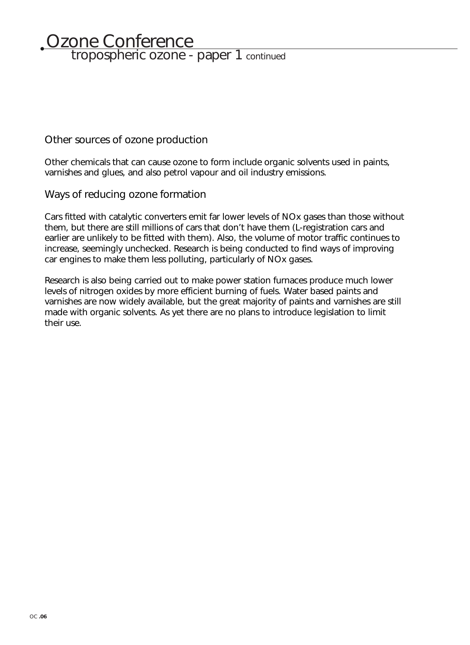# <u>Ozone Conference</u> tropospheric ozone - paper 1 continued

### Other sources of ozone production

Other chemicals that can cause ozone to form include organic solvents used in paints, varnishes and glues, and also petrol vapour and oil industry emissions.

### Ways of reducing ozone formation

Cars fitted with catalytic converters emit far lower levels of NOx gases than those without them, but there are still millions of cars that don't have them (L-registration cars and earlier are unlikely to be fitted with them). Also, the volume of motor traffic continues to increase, seemingly unchecked. Research is being conducted to find ways of improving car engines to make them less polluting, particularly of NOx gases.

Research is also being carried out to make power station furnaces produce much lower levels of nitrogen oxides by more efficient burning of fuels. Water based paints and varnishes are now widely available, but the great majority of paints and varnishes are still made with organic solvents. As yet there are no plans to introduce legislation to limit their use.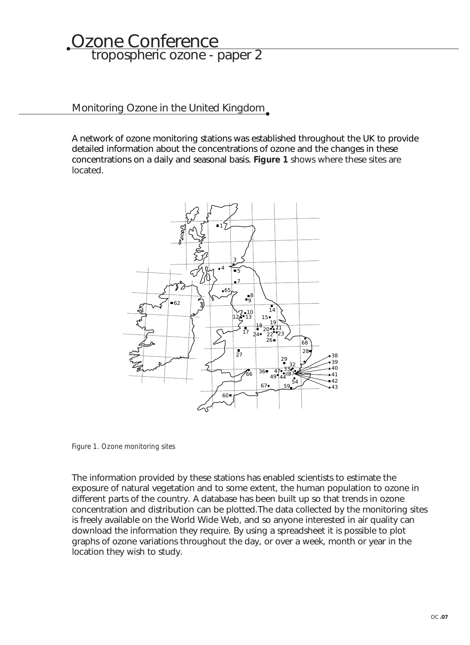# Ozone Conference tropospheric ozone - paper 2

### Monitoring Ozone in the United Kingdom

A network of ozone monitoring stations was established throughout the UK to provide detailed information about the concentrations of ozone and the changes in these concentrations on a daily and seasonal basis. **Figure 1** shows where these sites are located.



*Figure 1. Ozone monitoring sites*

The information provided by these stations has enabled scientists to estimate the exposure of natural vegetation and to some extent, the human population to ozone in different parts of the country. A database has been built up so that trends in ozone concentration and distribution can be plotted.The data collected by the monitoring sites is freely available on the World Wide Web, and so anyone interested in air quality can download the information they require. By using a spreadsheet it is possible to plot graphs of ozone variations throughout the day, or over a week, month or year in the location they wish to study.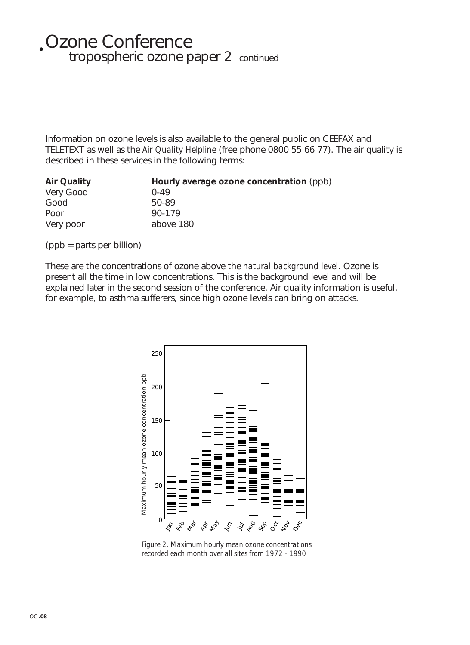# Ozone Conference tropospheric ozone paper 2 continued

Information on ozone levels is also available to the general public on CEEFAX and TELETEXT as well as the *Air Quality Helpline* (free phone 0800 55 66 77). The air quality is described in these services in the following terms:

| <b>Air Quality</b> | Hourly average ozone concentration (ppb) |
|--------------------|------------------------------------------|
| Very Good          | $0 - 49$                                 |
| Good               | 50-89                                    |
| Poor               | $90 - 179$                               |
| Very poor          | above 180                                |

(ppb = parts per billion)

These are the concentrations of ozone above the *natural background level*. Ozone is present all the time in low concentrations. This is the background level and will be explained later in the second session of the conference. Air quality information is useful, for example, to asthma sufferers, since high ozone levels can bring on attacks.



*Figure 2. Maximum hourly mean ozone concentrations recorded each month over all sites from 1972 - 1990*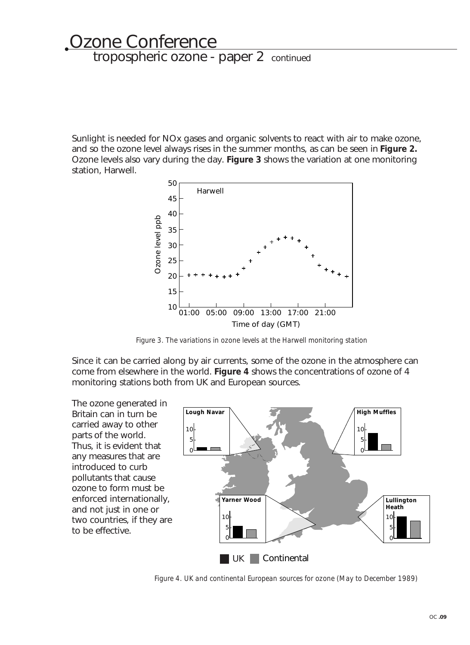# Ozone Conference tropospheric ozone - paper 2 continued

Sunlight is needed for NOx gases and organic solvents to react with air to make ozone, and so the ozone level always rises in the summer months, as can be seen in **Figure 2.** Ozone levels also vary during the day. **Figure 3** shows the variation at one monitoring station, Harwell.



*Figure 3. The variations in ozone levels at the Harwell monitoring station*

Since it can be carried along by air currents, some of the ozone in the atmosphere can come from elsewhere in the world. **Figure 4** shows the concentrations of ozone of 4 monitoring stations both from UK and European sources.

The ozone generated in Britain can in turn be carried away to other parts of the world. Thus, it is evident that any measures that are introduced to curb pollutants that cause ozone to form must be enforced internationally, and not just in one or two countries, if they are to be effective. 10 5 0



*Figure 4. UK and continental European sources for ozone (May to December 1989)*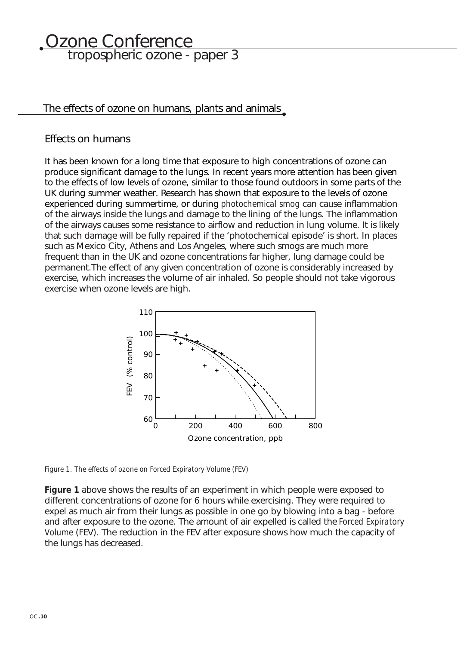# <u>Ozone Conference</u> tropospheric ozone - paper 3

### The effects of ozone on humans, plants and animals

### Effects on humans

It has been known for a long time that exposure to high concentrations of ozone can produce significant damage to the lungs. In recent years more attention has been given to the effects of low levels of ozone, similar to those found outdoors in some parts of the UK during summer weather. Research has shown that exposure to the levels of ozone experienced during summertime, or during *photochemical smog* can cause inflammation of the airways inside the lungs and damage to the lining of the lungs. The inflammation of the airways causes some resistance to airflow and reduction in lung volume. It is likely that such damage will be fully repaired if the 'photochemical episode' is short. In places such as Mexico City, Athens and Los Angeles, where such smogs are much more frequent than in the UK and ozone concentrations far higher, lung damage could be permanent.The effect of any given concentration of ozone is considerably increased by exercise, which increases the volume of air inhaled. So people should not take vigorous exercise when ozone levels are high.



*Figure 1. The effects of ozone on Forced Expiratory Volume (FEV)*

**Figure 1** above shows the results of an experiment in which people were exposed to different concentrations of ozone for 6 hours while exercising. They were required to expel as much air from their lungs as possible in one go by blowing into a bag - before and after exposure to the ozone. The amount of air expelled is called the *Forced Expiratory Volume* (FEV). The reduction in the FEV after exposure shows how much the capacity of the lungs has decreased.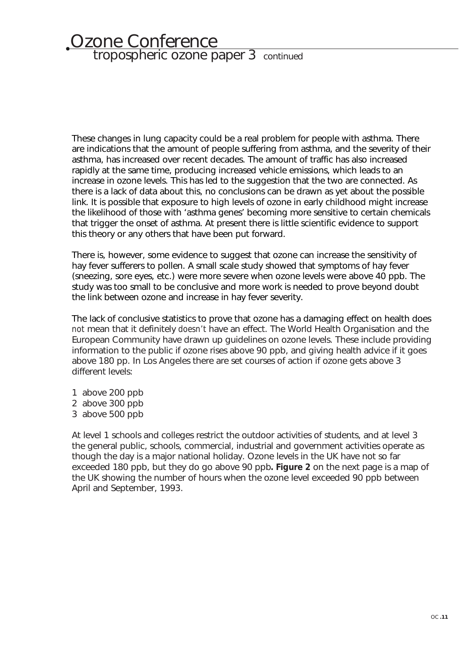# Ozone Conference tropospheric ozone paper 3 continued

These changes in lung capacity could be a real problem for people with asthma. There are indications that the amount of people suffering from asthma, and the severity of their asthma, has increased over recent decades. The amount of traffic has also increased rapidly at the same time, producing increased vehicle emissions, which leads to an increase in ozone levels. This has led to the suggestion that the two are connected. As there is a lack of data about this, no conclusions can be drawn as yet about the possible link. It is possible that exposure to high levels of ozone in early childhood might increase the likelihood of those with 'asthma genes' becoming more sensitive to certain chemicals that trigger the onset of asthma. At present there is little scientific evidence to support this theory or any others that have been put forward.

There is, however, some evidence to suggest that ozone can increase the sensitivity of hay fever sufferers to pollen. A small scale study showed that symptoms of hay fever (sneezing, sore eyes, etc.) were more severe when ozone levels were above 40 ppb. The study was too small to be conclusive and more work is needed to prove beyond doubt the link between ozone and increase in hay fever severity.

The lack of conclusive statistics to prove that ozone has a damaging effect on health does *not* mean that it definitely *doesn't* have an effect. The World Health Organisation and the European Community have drawn up guidelines on ozone levels. These include providing information to the public if ozone rises above 90 ppb, and giving health advice if it goes above 180 pp. In Los Angeles there are set courses of action if ozone gets above 3 different levels:

- 1 above 200 ppb
- 2 above 300 ppb
- 3 above 500 ppb

At level 1 schools and colleges restrict the outdoor activities of students, and at level 3 the general public, schools, commercial, industrial and government activities operate as though the day is a major national holiday. Ozone levels in the UK have not so far exceeded 180 ppb, but they do go above 90 ppb**. Figure 2** on the next page is a map of the UK showing the number of hours when the ozone level exceeded 90 ppb between April and September, 1993.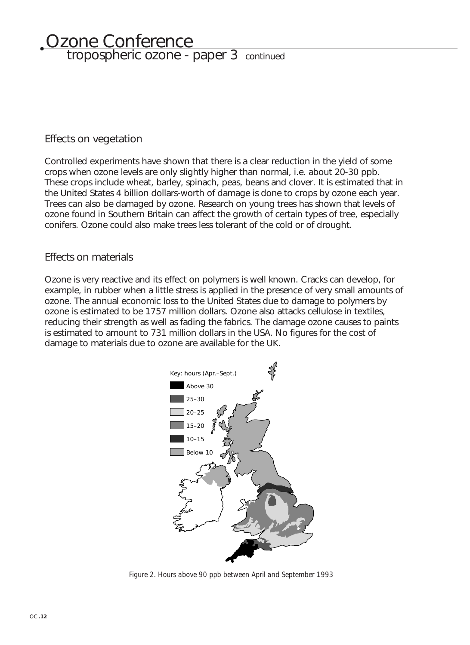# <u>Ozone Conference</u> tropospheric ozone - paper 3 continued

### Effects on vegetation

Controlled experiments have shown that there is a clear reduction in the yield of some crops when ozone levels are only slightly higher than normal, i.e. about 20-30 ppb. These crops include wheat, barley, spinach, peas, beans and clover. It is estimated that in the United States 4 billion dollars-worth of damage is done to crops by ozone each year. Trees can also be damaged by ozone. Research on young trees has shown that levels of ozone found in Southern Britain can affect the growth of certain types of tree, especially conifers. Ozone could also make trees less tolerant of the cold or of drought.

### Effects on materials

Ozone is very reactive and its effect on polymers is well known. Cracks can develop, for example, in rubber when a little stress is applied in the presence of very small amounts of ozone. The annual economic loss to the United States due to damage to polymers by ozone is estimated to be 1757 million dollars. Ozone also attacks cellulose in textiles, reducing their strength as well as fading the fabrics. The damage ozone causes to paints is estimated to amount to 731 million dollars in the USA. No figures for the cost of damage to materials due to ozone are available for the UK.



*Figure 2. Hours above 90 ppb between April and September 1993*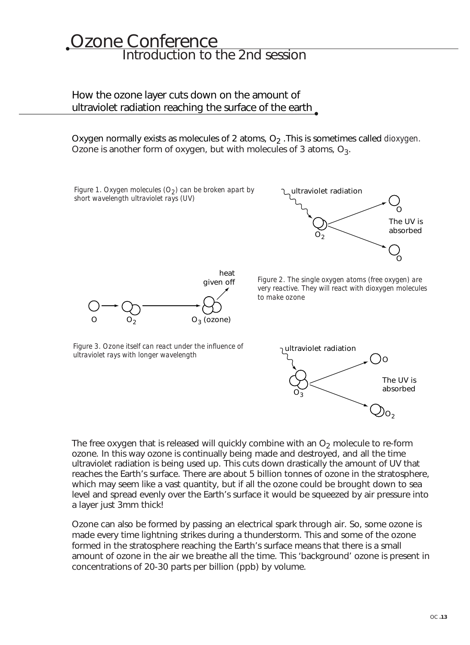# Ozone Conference Introduction to the 2nd session

### How the ozone layer cuts down on the amount of ultraviolet radiation reaching the surface of the earth

Oxygen normally exists as molecules of 2 atoms, O<sub>2</sub>. This is sometimes called *dioxygen*. Ozone is another form of oxygen, but with molecules of 3 atoms,  $O_3$ .

*Figure 2. The single oxygen atoms (free oxygen) are very reactive. They will react with dioxygen molecules to make ozone Figure 3. Ozone itself can react under the influence of ultraviolet rays with longer wavelength* ultraviolet radiation  $O_2$ O  $\Omega$ The UV is absorbed  $O_3$  (ozone) heat given off ultraviolet radiation O *Figure 1. Oxygen molecules (O<sub>2</sub>) can be broken apart by short wavelength ultraviolet rays (UV)*

The free oxygen that is released will quickly combine with an  $O<sub>2</sub>$  molecule to re-form ozone. In this way ozone is continually being made and destroyed, and all the time ultraviolet radiation is being used up. This cuts down drastically the amount of UV that reaches the Earth's surface. There are about 5 billion tonnes of ozone in the stratosphere, which may seem like a vast quantity, but if all the ozone could be brought down to sea level and spread evenly over the Earth's surface it would be squeezed by air pressure into a layer just 3mm thick!

 $O_3$ 

Ozone can also be formed by passing an electrical spark through air. So, some ozone is made every time lightning strikes during a thunderstorm. This and some of the ozone formed in the stratosphere reaching the Earth's surface means that there is a small amount of ozone in the air we breathe all the time. This 'background' ozone is present in concentrations of 20-30 parts per billion (ppb) by volume.

 $O<sub>2</sub>$ 

The UV is absorbed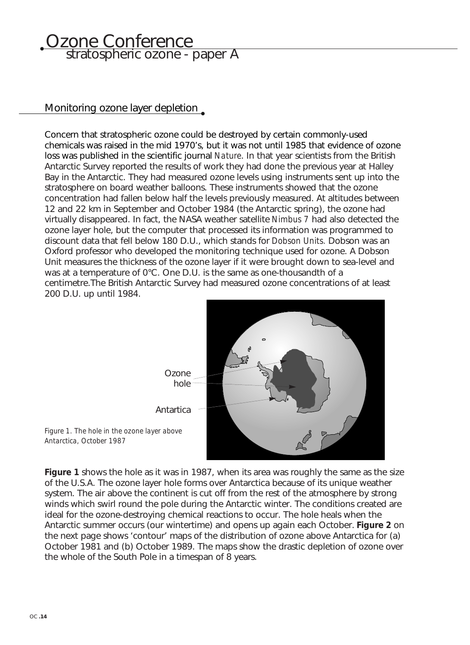### Ozone Conference stratospheric ozone - paper A

### Monitoring ozone layer depletion

Concern that stratospheric ozone could be destroyed by certain commonly-used chemicals was raised in the mid 1970's, but it was not until 1985 that evidence of ozone loss was published in the scientific journal *Nature*. In that year scientists from the British Antarctic Survey reported the results of work they had done the previous year at Halley Bay in the Antarctic. They had measured ozone levels using instruments sent up into the stratosphere on board weather balloons. These instruments showed that the ozone concentration had fallen below half the levels previously measured. At altitudes between 12 and 22 km in September and October 1984 (the Antarctic spring), the ozone had virtually disappeared. In fact, the NASA weather satellite *Nimbus 7* had also detected the ozone layer hole, but the computer that processed its information was programmed to discount data that fell below 180 D.U., which stands for *Dobson Units.* Dobson was an Oxford professor who developed the monitoring technique used for ozone. A Dobson Unit measures the thickness of the ozone layer if it were brought down to sea-level and was at a temperature of 0°C. One D.U. is the same as one-thousandth of a centimetre.The British Antarctic Survey had measured ozone concentrations of at least 200 D.U. up until 1984.



*Figure 1. The hole in the ozone layer above Antarctica, October 1987*

**Figure 1** shows the hole as it was in 1987, when its area was roughly the same as the size of the U.S.A. The ozone layer hole forms over Antarctica because of its unique weather system. The air above the continent is cut off from the rest of the atmosphere by strong winds which swirl round the pole during the Antarctic winter. The conditions created are ideal for the ozone-destroying chemical reactions to occur. The hole heals when the Antarctic summer occurs (our wintertime) and opens up again each October. **Figure 2** on the next page shows 'contour' maps of the distribution of ozone above Antarctica for (a) October 1981 and (b) October 1989. The maps show the drastic depletion of ozone over the whole of the South Pole in a timespan of 8 years.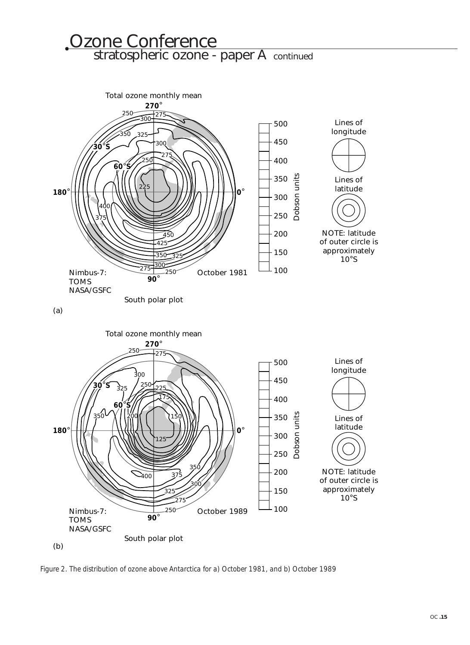### Ozone Conference stratospheric ozone - paper A continued



*Figure 2. The distribution of ozone above Antarctica for a) October 1981, and b) October 1989*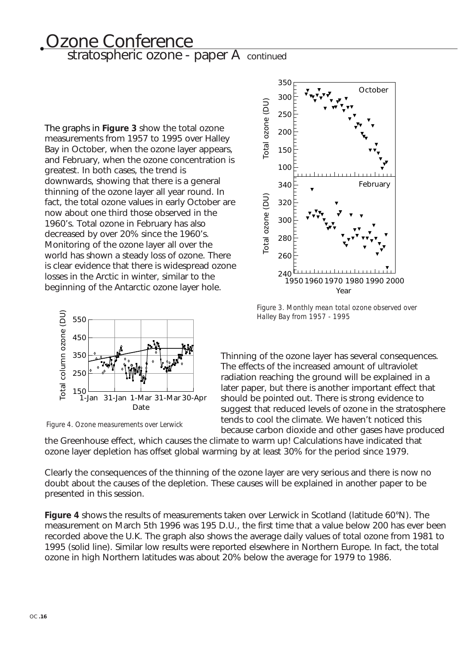# Ozone Conference stratospheric ozone - paper A continued

The graphs in **Figure 3** show the total ozone measurements from 1957 to 1995 over Halley Bay in October, when the ozone layer appears, and February, when the ozone concentration is greatest. In both cases, the trend is downwards, showing that there is a general thinning of the ozone layer all year round. In fact, the total ozone values in early October are now about one third those observed in the 1960's. Total ozone in February has also decreased by over 20% since the 1960's. Monitoring of the ozone layer all over the world has shown a steady loss of ozone. There is clear evidence that there is widespread ozone losses in the Arctic in winter, similar to the beginning of the Antarctic ozone layer hole.



*Figure 4. Ozone measurements over Lerwick*



*Figure 3. Monthly mean total ozone observed over Halley Bay from 1957 - 1995*

Thinning of the ozone layer has several consequences. The effects of the increased amount of ultraviolet radiation reaching the ground will be explained in a later paper, but there is another important effect that should be pointed out. There is strong evidence to suggest that reduced levels of ozone in the stratosphere tends to cool the climate. We haven't noticed this because carbon dioxide and other gases have produced

the Greenhouse effect, which causes the climate to warm up! Calculations have indicated that ozone layer depletion has offset global warming by at least 30% for the period since 1979.

Clearly the consequences of the thinning of the ozone layer are very serious and there is now no doubt about the causes of the depletion. These causes will be explained in another paper to be presented in this session.

**Figure 4** shows the results of measurements taken over Lerwick in Scotland (latitude 60°N). The measurement on March 5th 1996 was 195 D.U., the first time that a value below 200 has ever been recorded above the U.K. The graph also shows the average daily values of total ozone from 1981 to 1995 (solid line). Similar low results were reported elsewhere in Northern Europe. In fact, the total ozone in high Northern latitudes was about 20% below the average for 1979 to 1986.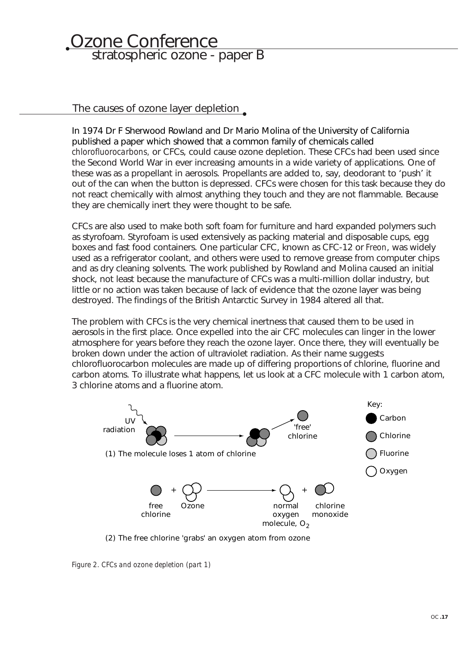# Ozone Conference stratospheric ozone - paper B

### The causes of ozone layer depletion.

In 1974 Dr F Sherwood Rowland and Dr Mario Molina of the University of California published a paper which showed that a common family of chemicals called *chlorofluorocarbons,* or CFCs, could cause ozone depletion. These CFCs had been used since the Second World War in ever increasing amounts in a wide variety of applications. One of these was as a propellant in aerosols. Propellants are added to, say, deodorant to 'push' it out of the can when the button is depressed. CFCs were chosen for this task because they do not react chemically with almost anything they touch and they are not flammable. Because they are chemically inert they were thought to be safe.

CFCs are also used to make both soft foam for furniture and hard expanded polymers such as styrofoam. Styrofoam is used extensively as packing material and disposable cups, egg boxes and fast food containers. One particular CFC, known as CFC-12 or *Freon*, was widely used as a refrigerator coolant, and others were used to remove grease from computer chips and as dry cleaning solvents. The work published by Rowland and Molina caused an initial shock, not least because the manufacture of CFCs was a multi-million dollar industry, but little or no action was taken because of lack of evidence that the ozone layer was being destroyed. The findings of the British Antarctic Survey in 1984 altered all that.

The problem with CFCs is the very chemical inertness that caused them to be used in aerosols in the first place. Once expelled into the air CFC molecules can linger in the lower atmosphere for years before they reach the ozone layer. Once there, they will eventually be broken down under the action of ultraviolet radiation. As their name suggests chlorofluorocarbon molecules are made up of differing proportions of chlorine, fluorine and carbon atoms. To illustrate what happens, let us look at a CFC molecule with 1 carbon atom, 3 chlorine atoms and a fluorine atom.



(2) The free chlorine 'grabs' an oxygen atom from ozone

*Figure 2. CFCs and ozone depletion (part 1)*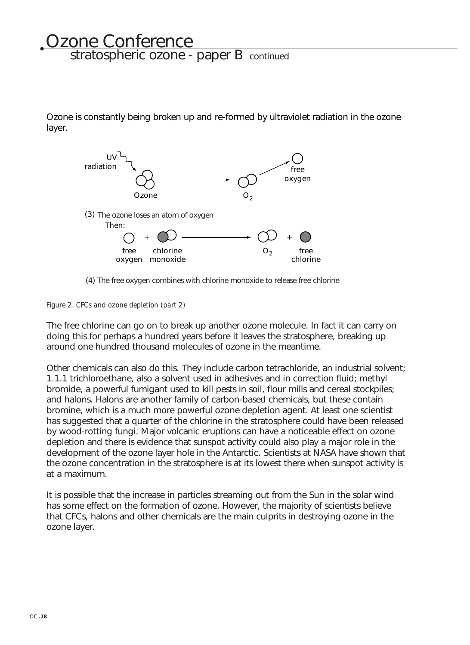# **Ozone Conference** stratospheric ozone - paper B continued

Ozone is constantly being broken up and re-formed by ultraviolet radiation in the ozone layer.



(4) The free oxygen combines with chlorine monoxide to release free chlorine

### *Figure 2. CFCs and ozone depletion (part 2)*

The free chlorine can go on to break up another ozone molecule. In fact it can carry on doing this for perhaps a hundred years before it leaves the stratosphere, breaking up around one hundred thousand molecules of ozone in the meantime.

Other chemicals can also do this. They include carbon tetrachloride, an industrial solvent; 1.1.1 trichloroethane, also a solvent used in adhesives and in correction fluid; methyl bromide, a powerful fumigant used to kill pests in soil, flour mills and cereal stockpiles; and halons. Halons are another family of carbon-based chemicals, but these contain bromine, which is a much more powerful ozone depletion agent. At least one scientist has suggested that a quarter of the chlorine in the stratosphere could have been released by wood-rotting fungi. Major volcanic eruptions can have a noticeable effect on ozone depletion and there is evidence that sunspot activity could also play a major role in the development of the ozone layer hole in the Antarctic. Scientists at NASA have shown that the ozone concentration in the stratosphere is at its lowest there when sunspot activity is at a maximum.

It is possible that the increase in particles streaming out from the Sun in the solar wind has some effect on the formation of ozone. However, the majority of scientists believe that CFCs, halons and other chemicals are the main culprits in destroying ozone in the ozone layer.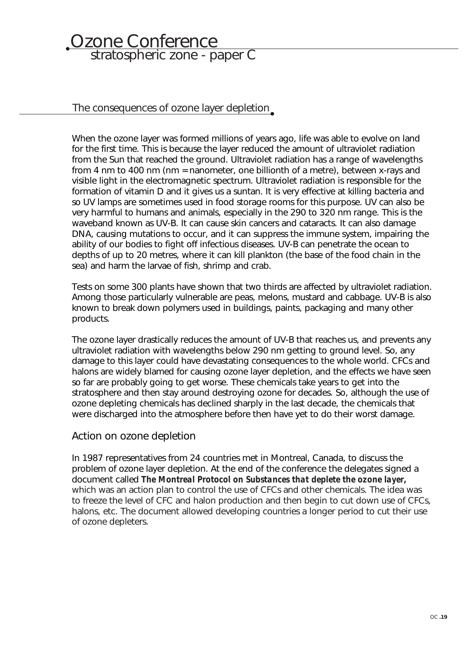# **Ozone Conference** stratospheric zone - paper C

The consequences of ozone layer depletion

When the ozone layer was formed millions of years ago, life was able to evolve on land for the first time. This is because the layer reduced the amount of ultraviolet radiation from the Sun that reached the ground. Ultraviolet radiation has a range of wavelengths from 4 nm to 400 nm (nm = nanometer, one billionth of a metre), between x-rays and visible light in the electromagnetic spectrum. Ultraviolet radiation is responsible for the formation of vitamin D and it gives us a suntan. It is very effective at killing bacteria and so UV lamps are sometimes used in food storage rooms for this purpose. UV can also be very harmful to humans and animals, especially in the 290 to 320 nm range. This is the waveband known as UV-B. It can cause skin cancers and cataracts. It can also damage DNA, causing mutations to occur, and it can suppress the immune system, impairing the ability of our bodies to fight off infectious diseases. UV-B can penetrate the ocean to depths of up to 20 metres, where it can kill plankton (the base of the food chain in the sea) and harm the larvae of fish, shrimp and crab.

Tests on some 300 plants have shown that two thirds are affected by ultraviolet radiation. Among those particularly vulnerable are peas, melons, mustard and cabbage. UV-B is also known to break down polymers used in buildings, paints, packaging and many other products.

The ozone layer drastically reduces the amount of UV-B that reaches us, and prevents any ultraviolet radiation with wavelengths below 290 nm getting to ground level. So, any damage to this layer could have devastating consequences to the whole world. CFCs and halons are widely blamed for causing ozone layer depletion, and the effects we have seen so far are probably going to get worse. These chemicals take years to get into the stratosphere and then stay around destroying ozone for decades. So, although the use of ozone depleting chemicals has declined sharply in the last decade, the chemicals that were discharged into the atmosphere before then have yet to do their worst damage.

### Action on ozone depletion

In 1987 representatives from 24 countries met in Montreal, Canada, to discuss the problem of ozone layer depletion. At the end of the conference the delegates signed a document called *The Montreal Protocol on Substances that deplete the ozone layer,* which was an action plan to control the use of CFCs and other chemicals. The idea was to freeze the level of CFC and halon production and then begin to cut down use of CFCs, halons, etc. The document allowed developing countries a longer period to cut their use of ozone depleters.